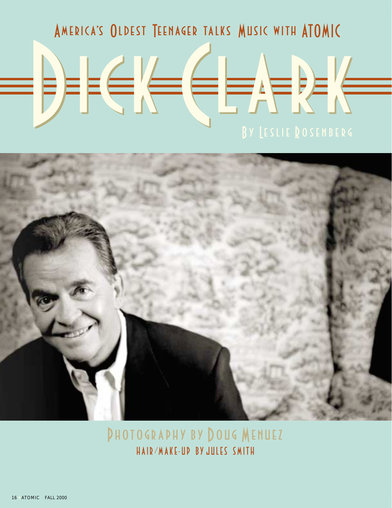## AMERICA'S OLDEST TEENAGER TALKS MUSIC WITH ATOMIC



**PHOTOGRAPHY BY DOUG MENUEZ** HAIR/MAKE-UD BY JULES SMITH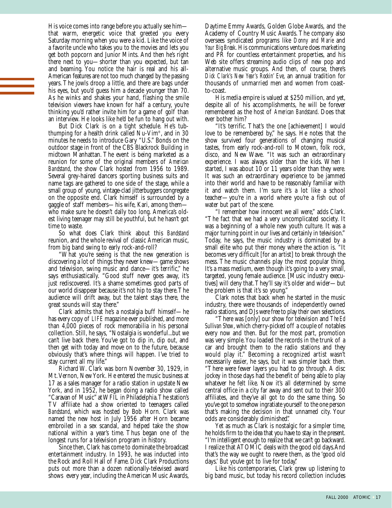His voice comes into range before you actually see him that warm, energetic voice that greeted you every Saturday morning when you were a kid. Like the voice of a favorite uncle who takes you to the movies and lets you get both popcorn and Junior Mints. And then he's right there next to you—shorter than you expected, but tan and beaming. You notice the hair is real and his all-American features are not too much changed by the passing years. The jowls droop a little, and there are bags under his eyes, but you'd guess him a decade younger than 70. As he winks and shakes your hand, flashing the smile television viewers have known for half a century, you're thinking you'd rather invite him for a game of golf than an interview. He looks like he'd be fun to hang out with.

But Dick Clark is on a tight schedule. He's tubthumping for a health drink called Nu-Vim®, and in 30 minutes he needs to introduce Gary "U.S." Bonds on the outdoor stage in front of the CBS Blackrock Building in midtown Manhattan. The event is being marketed as a reunion for some of the original members of *American Bandstand*, the show Clark hosted from 1956 to 1989. Several grey-haired dancers sporting business suits and name tags are gathered to one side of the stage, while a small group of young, vintage-clad jitterbuggers congregate on the opposite end. Clark himself is surrounded by a gaggle of staff members—his wife, Kari, among them who make sure he doesn't dally too long. America's oldest living teenager may still be youthful, but he hasn't got time to waste.

So what does Clark think about this *Bandstand* reunion, and the whole revival of classic American music, from big band swing to early rock-and-roll?

"What you're seeing is that the new generation is discovering a lot of things they never knew—game shows and television, swing music and dance—it's terrific," he says enthusiastically. "Good stuff never goes away, it's just rediscovered. It's a shame sometimes good parts of our world disappear because it's not hip to stay there. The audience will drift away, but the talent stays there, the great sounds will stay there."

Clark admits that he's a nostalgia buff himself—he has every copy of *LIFE* magazine ever published, and more than 4,000 pieces of rock memorabilia in his personal collection. Still, he says, "Nostalgia is wonderful...but we can't live back there. You've got to dip in, dip out, and then get with today and move on to the future, because obviously that's where things will happen. I've tried to stay current all my life."

Richard W. Clark was born November 30, 1929, in Mt. Vernon, New York. He entered the music business at 17 as a sales manager for a radio station in upstate New York, and in 1952, he began doing a radio show called "Caravan of Music" at WFIL in Philadelphia. The station's TV affiliate had a show oriented to teenagers called *Bandstand*, which was hosted by Bob Horn. Clark was named the new host in July 1956 after Horn became embroiled in a sex scandal, and helped take the show national within a year's time. Thus began one of the longest runs for a television program in history.

Since then, Clark has come to dominate the broadcast entertainment industry. In 1993, he was inducted into the Rock and Roll Hall of Fame. Dick Clark Productions puts out more than a dozen nationally-televised award shows every year, including the American Music Awards, Daytime Emmy Awards, Golden Globe Awards, and the Academy of Country Music Awards. The company also oversees syndicated programs like *Donny and Marie* and *Your Big Break*. His communications venture does marketing and PR for countless entertainment properties, and his Web site offers streaming audio clips of new pop and alternative music groups. And then, of course, there's *Dick Clark's New Year's Rockin' Eve*, an annual tradition for thousands of unmarried men and women from coastto-coast.

His media empire is valued at \$250 million, and yet, despite all of his accomplishments, he will be forever remembered as the host of *American Bandstand*. Does that ever bother him?

"It's terrific. That's the one [achievement] I would love to be remembered by," he says. He notes that the show survived four generations of changing musical tastes, from early rock-and-roll to Motown, folk rock, disco, and New Wave. "It was such an extraordinary experience. I was always older than the kids. When I started, I was about 10 or 11 years older than they were. It was such an extraordinary experience to be jammed into their world and have to be reasonably familiar with it and watch them. I'm sure it's a lot like a school teacher—you're in a world where you're a fish out of water but part of the scene.

"I remember how innocent we all were," adds Clark. "The fact that we had a very uncomplicated society. It was a beginning of a whole new youth culture. It was a major turning point in our lives and certainly in television." Today, he says, the music industry is dominated by a small elite who put their money where the action is. "It becomes very difficult [for an artist] to break through the mess. The music channels play the most popular thing. It's a mass medium, even though it's going to a very small, targeted, young female audience. [Music industry executives] will deny that. They'll say it's older and wider—but the problem is that it's so young."

Clark notes that back when he started in the music industry, there were thousands of independently owned radio stations, and DJs were free to play their own selections.

"There was [only] our show for television and *The Ed Sullivan Show*, which cherry-picked off a couple of notables every now and then. But for the most part, promotion was very simple. You loaded the records in the trunk of a car and brought them to the radio stations and they would play it." Becoming a recognized artist wasn't necessarily easier, he says, but it was simpler back then. "There were fewer layers you had to go through. A disc jockey in those days had the benefit of being able to play whatever he felt like. Now it's all determined by some central office in a city far away and sent out to their 300 affiliates, and they've all got to do the same thing. So you've got to somehow ingratiate yourself to the one person that's making the decision in that unnamed city. Your odds are considerably diminished."

Yet as much as Clark is nostalgic for a simpler time, he holds firm to the idea that you have to stay in the present. "I'm intelligent enough to realize that we can't go backward. I realize that ATOMIC deals with the good old days.And that's the way we ought to revere them, as the 'good old days.' But you've got to live for today."

Like his contemporaries, Clark grew up listening to big band music, but today his record collection includes